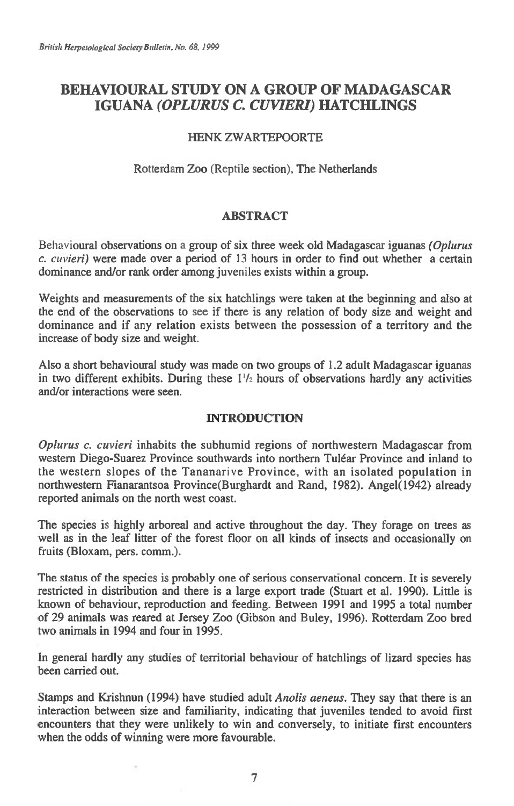# **BEHAVIOURAL STUDY ON A GROUP OF MADAGASCAR IGUANA** *(OPLURUS C. CUVIERI)* **HATCHLINGS**

# HENK ZWARTEPOORTE

# Rotterdam Zoo (Reptile section), The Netherlands

## **ABSTRACT**

Behavioural observations on a group of six three week old Madagascar iguanas *(Oplurus c. cuvieri)* were made over a period of 13 hours in order to find out whether a certain dominance and/or rank order among juveniles exists within a group.

Weights and measurements of the six hatchlings were taken at the beginning and also at the end of the observations to see if there is any relation of body size and weight and dominance and if any relation exists between the possession of a territory and the increase of body size and weight.

Also a short behavioural study was made on two groups of 1.2 adult Madagascar iguanas in two different exhibits. During these  $1\frac{1}{2}$  hours of observations hardly any activities and/or interactions were seen.

# **INTRODUCTION**

*Oplurus c. cuvieri* inhabits the subhumid regions of northwestern Madagascar from western Diego-Suarez Province southwards into northern Tulear Province and inland to the western slopes of the Tananarive Province, with an isolated population in northwestern Fianarantsoa Province(Burghardt and Rand, 1982). Angel(1942) already reported animals on the north west coast.

The species is highly arboreal and active throughout the day. They forage on trees as well as in the leaf litter of the forest floor on all kinds of insects and occasionally on fruits (Bloxam, pers. comm.).

The status of the species is probably one of serious conservational concern. It is severely restricted in distribution and there is a large export trade (Stuart et al. 1990). Little is known of behaviour, reproduction and feeding. Between 1991 and 1995 a total number of 29 animals was reared at Jersey Zoo (Gibson and Buley, 1996). Rotterdam Zoo bred two animals in 1994 and four in 1995.

In general hardly any studies of territorial behaviour of hatchlings of lizard species has been carried out.

Stamps and Krishnun (1994) have studied adult *Anolis aeneus.* They say that there is an interaction between size and familiarity, indicating that juveniles tended to avoid first encounters that they were unlikely to win and conversely, to initiate first encounters when the odds of winning were more favourable.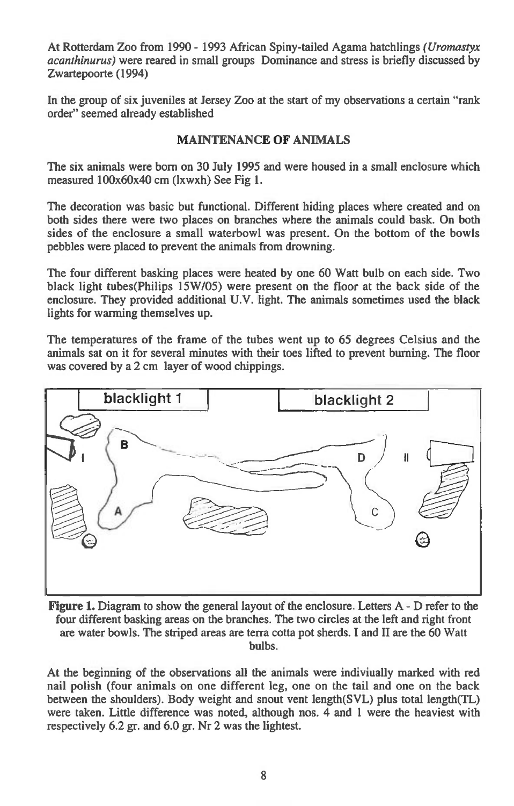At Rotterdam Zoo from 1990 - 1993 African Spiny-tailed Agama hatchlings *(Uromastyx acanthinurus)* were reared in small groups Dominance and stress is briefly discussed by Zwartepoorte (1994)

In the group of six juveniles at Jersey Zoo at the start of my observations a certain "rank order" seemed already established

## **MAINTENANCE OF ANIMALS**

The six animals were born on 30 July 1995 and were housed in a small enclosure which measured 100x60x40 cm (lxwxh) See Fig 1.

The decoration was basic but functional. Different hiding places where created and on both sides there were two places on branches where the animals could bask. On both sides of the enclosure a small waterbowl was present. On the bottom of the bowls pebbles were placed to prevent the animals from drowning.

The four different basking places were heated by one 60 Watt bulb on each side. Two black light tubes(Philips 15W/05) were present on the floor at the back side of the enclosure. They provided additional U.V. light. The animals sometimes used the black lights for warming themselves up.

The temperatures of the frame of the tubes went up to 65 degrees Celsius and the animals sat on it for several minutes with their toes lifted to prevent burning. The floor was covered by a 2 cm layer of wood chippings.



**Figure 1.** Diagram to show the general layout of the enclosure. Letters A - D refer to the four different basking areas on the branches. The two circles at the left and right front are water bowls. The striped areas are terra cotta pot sherds. I and II are the 60 Watt bulbs.

At the beginning of the observations all the animals were indivivally marked with red nail polish (four animals on one different leg, one on the tail and one on the back between the shoulders). Body weight and snout vent length(SVL) plus total length(TL) were taken. Little difference was noted, although nos. 4 and 1 were the heaviest with respectively 6.2 gr. and 6.0 gr. Nr 2 was the lightest.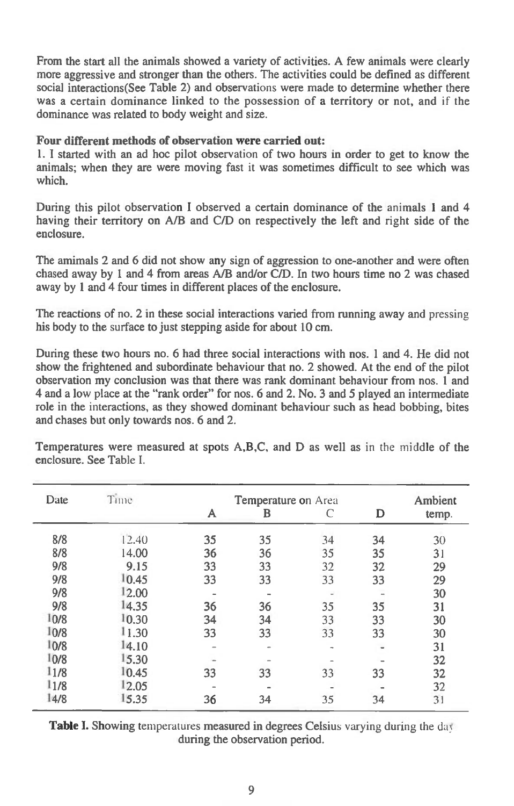From the start all the animals showed a variety of activities. A few animals were clearly more aggressive and stronger than the others. The activities could be defined as different social interactions(See Table 2) and observations were made to determine whether there was a certain dominance linked to the possession of a territory or not, and if the dominance was related to body weight and size.

## **Four different methods of observation were carried out:**

**1. I** started with an ad hoc pilot observation of two hours in order to get to know the animals; when they are were moving fast it was sometimes difficult to see which was which.

During this pilot observation I observed a certain dominance of the animals 1 and 4 having their territory on A/B and C/D on respectively the left and right side of the enclosure.

The amimals 2 and 6 did not show any sign of aggression to one-another and were often chased away by 1 and 4 from areas A/B and/or C/D. In two hours time no 2 was chased away by 1 and 4 four times in different places of the enclosure.

The reactions of no. 2 in these social interactions varied from running away and pressing his body to the surface to just stepping aside for about 10 cm.

During these two hours no. 6 had three social interactions with nos. 1 and 4. He did not show the frightened and subordinate behaviour that no. 2 showed. At the end of the pilot observation my conclusion was that there was rank dominant behaviour from nos. 1 and 4 and a low place at the "rank order" for nos. 6 and 2. No. 3 and 5 played an intermediate role in the interactions, as they showed dominant behaviour such as head bobbing, bites and chases but only towards nos. 6 and 2.

| Date | Time  | <b>Temperature on Area</b> | <b>Ambient</b> |               |    |       |
|------|-------|----------------------------|----------------|---------------|----|-------|
|      |       | A                          | в              | C             | D  | temp. |
| 8/8  | 12.40 | 35                         | 35             | 34            | 34 | 30    |
| 8/8  | 14.00 | 36                         | 36             | 35            | 35 | 31    |
| 9/8  | 9.15  | 33                         | 33             | 32            | 32 | 29    |
| 9/8  | 10.45 | 33                         | 33             | 33            | 33 | 29    |
| 9/8  | 12.00 |                            | $\sim$         | $\sim$        |    | 30    |
| 9/8  | 14.35 | 36                         | 36             | 35            | 35 | 31    |
| 10/8 | 10.30 | 34                         | 34             | 33            | 33 | 30    |
| 10/8 | 11.30 | 33                         | 33             | 33            | 33 | 30    |
| 10/8 | 14.10 | -                          | $\blacksquare$ | $\rightarrow$ |    | 31    |
| 10/8 | 15.30 |                            |                |               |    | 32    |
| 11/8 | 10.45 | 33                         | 33             | 33            | 33 | 32    |
| 11/8 | 12.05 |                            |                |               |    | 32    |
| 14/8 | 15.35 | 36                         | 34             | 35            | 34 | 31    |

Temperatures were measured at spots A,B,C, and D as well as in the middle of the enclosure. See Table I.

**Table I.** Showing temperatures measured in degrees Celsius varying during the day during the observation period.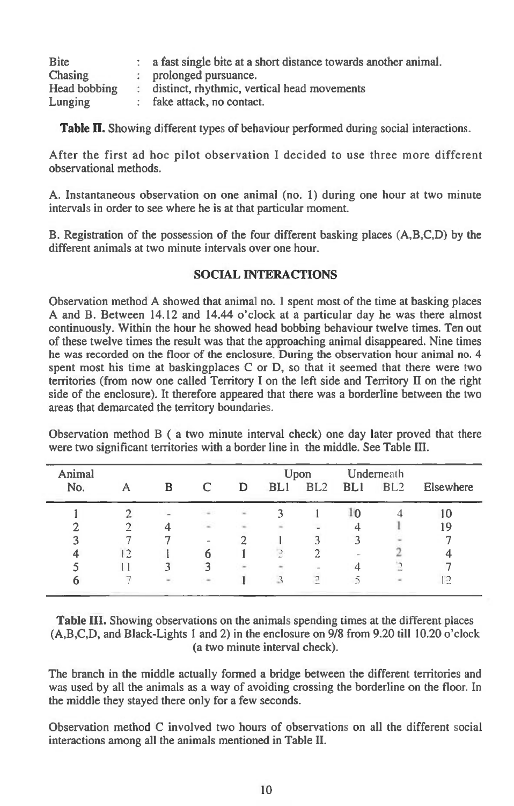| <b>Bite</b>  | a fast single bite at a short distance towards another animal. |
|--------------|----------------------------------------------------------------|
| Chasing      | prolonged pursuance.                                           |
| Head bobbing | distinct, rhythmic, vertical head movements                    |
| Lunging      | fake attack, no contact.                                       |

**Table II.** Showing different types of behaviour performed during social interactions.

After the first ad hoc pilot observation I decided to use three more different observational methods.

A. Instantaneous observation on one animal (no. 1) during one hour at two minute intervals in order to see where he is at that particular moment.

B. Registration of the possession of the four different basking places (A,B,C,D) by the different animals at two minute intervals over one hour.

## **SOCIAL INTERACTIONS**

Observation method A showed that animal no. 1 spent most of the time at basking places A and B. Between 14.12 and 14.44 o'clock at a particular day he was there almost continuously. Within the hour he showed head bobbing behaviour twelve times. Ten out of these twelve times the result was that the approaching animal disappeared. Nine times he was recorded on the floor of the enclosure. During the observation hour animal no. 4 spent most his time at baskingplaces C or D, so that it seemed that there were two territories (from now one called Territory I on the left side and Territory H on the right side of the enclosure). It therefore appeared that there was a borderline between the two areas that demarcated the territory boundaries.

Observation method B ( a two minute interval check) one day later proved that there were two significant territories with a border line in the middle. See Table HI.

| Animal |    |   |            |        | Upon |                 | Underneath |                 |           |  |
|--------|----|---|------------|--------|------|-----------------|------------|-----------------|-----------|--|
| No.    |    | B | C          | D      | BL1  | BL <sub>2</sub> | <b>BLI</b> | BL <sub>2</sub> | Elsewhere |  |
|        |    |   | in 1       | ×      |      |                 | l٥         |                 |           |  |
|        |    |   | ×          |        |      |                 |            |                 | 19        |  |
|        |    |   | <b>COL</b> |        |      |                 |            |                 |           |  |
|        | 12 |   |            |        |      |                 | $\sim$     |                 |           |  |
|        |    |   |            | $\sim$ |      |                 |            |                 |           |  |
|        |    |   |            |        |      |                 |            |                 | ≘ו        |  |

**Table III.** Showing observations on the animals spending times at the different places (A,B,C,D, and Black-Lights 1 and 2) in the enclosure on 9/8 from 9.20 till 10.20 o'clock (a two minute interval check).

The branch in the middle actually formed a bridge between the different territories and was used by all the animals as a way of avoiding crossing the borderline on the floor. In the middle they stayed there only for a few seconds.

Observation method C involved two hours of observations on all the different social interactions among all the animals mentioned in Table II.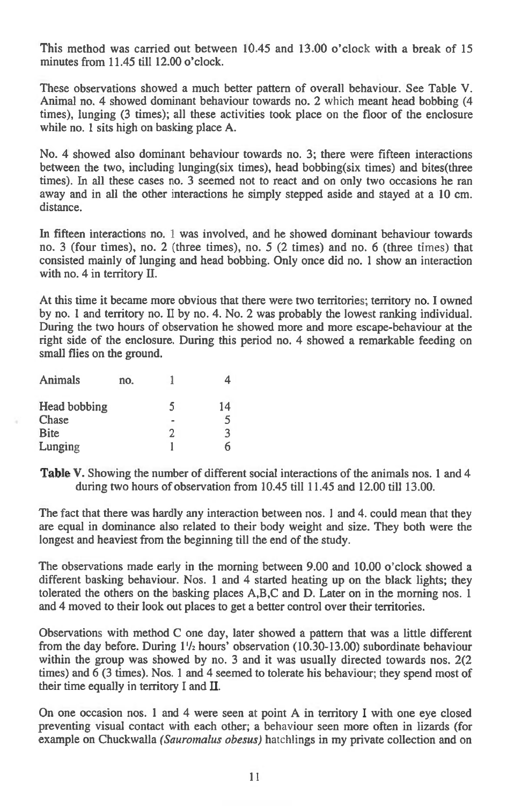This method was carried out between 10.45 and 13.00 o'clock with a break of 15 minutes from 11.45 till 12.00 o'clock.

These observations showed a much better pattern of overall behaviour. See Table V. Animal no. 4 showed dominant behaviour towards no. 2 which meant head bobbing (4 times), lunging (3 times); all these activities took place on the floor of the enclosure while no. 1 sits high on basking place A.

No. 4 showed also dominant behaviour towards no. 3; there were fifteen interactions between the two, including lunging(six times), head bobbing(six times) and bites(three times). In all these cases no. 3 seemed not to react and on only two occasions he ran away and in all the other interactions he simply stepped aside and stayed at a 10 cm. distance.

In fifteen interactions no. 1 was involved, and he showed dominant behaviour towards no. 3 (four times), no. 2 (three times), no. 5 (2 times) and no. 6 (three times) that consisted mainly of lunging and head bobbing. Only once did no. 1 show an interaction with no. 4 in territory H.

At this time it became more obvious that there were two territories; territory no. I owned by no. 1 and territory no. II by no. 4. No. 2 was probably the lowest ranking individual. During the two hours of observation he showed more and more escape-behaviour at the right side of the enclosure. During this period no. 4 showed a remarkable feeding on small flies on the ground.

| Animals      | no. |   |    |
|--------------|-----|---|----|
| Head bobbing |     | 5 | 14 |
| Chase        |     |   | 5  |
| <b>Bite</b>  |     | っ | 3  |
| Lunging      |     |   |    |

Table V. Showing the number of different social interactions of the animals nos. 1 and 4 during two hours of observation from 10.45 till 11.45 and 12.00 till 13.00.

The fact that there was hardly any interaction between nos. 1 and 4. could mean that they are equal in dominance also related to their body weight and size. They both were the longest and heaviest from the beginning till the end of the study.

The observations made early in the morning between 9.00 and 10.00 o'clock showed a different basking behaviour. Nos. 1 and 4 started heating up on the black lights; they tolerated the others on the basking places A,B,C and D. Later on in the morning nos. 1 and 4 moved to their look out places to get a better control over their territories.

Observations with method C one day, later showed a pattern that was a little different from the day before. During 1'/2 hours' observation (10.30-13.00) subordinate behaviour within the group was showed by no. 3 and it was usually directed towards nos. 2(2 times) and 6 (3 times). Nos. 1 and 4 seemed to tolerate his behaviour; they spend most of their time equally in territory I and H.

On one occasion nos. 1 and 4 were seen at point A in territory I with one eye closed preventing visual contact with each other; a behaviour seen more often in lizards (for example on Chuckwalla *(Sauromalus obesus)* hatchlings in my private collection and on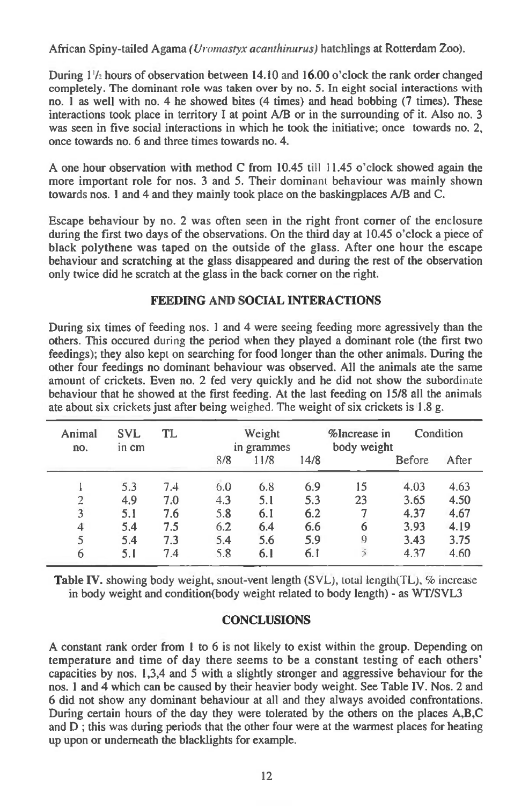**African Spiny-tailed Agama** *(Uromastyx acanthinurus)* **hatchlings at Rotterdam Zoo).** 

**During 1'/ hours of observation between 14.10 and 16.00 o'clock the rank order changed completely. The dominant role was taken over by no. 5. In eight social interactions with no. 1 as well with no. 4 he showed bites (4 times) and head bobbing (7 times). These interactions took place in territory I at point A/B or in the surrounding of it. Also no. 3 was seen in five social interactions in which he took the initiative; once towards no. 2, once towards no. 6 and three times towards no. 4.** 

**A one hour observation with method C from 10.45 till 11.45 o'clock showed again the more important role for nos. 3 and 5. Their dominant behaviour was mainly shown towards nos. 1 and 4 and they mainly took place on the baskingplaces A/B and C.** 

**Escape behaviour by no. 2 was often seen in the right front corner of the enclosure during the first two days of the observations. On the third day at 10.45 o'clock a piece of black polythene was taped on the outside of the glass. After one hour the escape behaviour and scratching at the glass disappeared and during the rest of the observation only twice did he scratch at the glass in the back corner on the right.** 

## **FEEDING AND SOCIAL INTERACTIONS**

**During six times of feeding nos. 1 and 4 were seeing feeding more agressively than the others. This occured during the period when they played a dominant role (the first two feedings); they also kept on searching for food longer than the other animals. During the other four feedings no dominant behaviour was observed. All the animals ate the same amount of crickets. Even no. 2 fed very quickly and he did not show the subordinate behaviour that he showed at the first feeding. At the last feeding on 15/8 all the animals ate about six crickets just after being** weighed. The **weight of six crickets is 1.8 g.** 

| Animal<br>no.  | SVL<br>in cm | TL  |     | Weight<br>in grammes |      | %Increase in<br>body weight | Condition     |       |
|----------------|--------------|-----|-----|----------------------|------|-----------------------------|---------------|-------|
|                |              |     | 8/8 | 11/8                 | 14/8 |                             | <b>Before</b> | After |
|                | 5.3          | 7.4 | 6.0 | 6.8                  | 6.9  | 15                          | 4.03          | 4.63  |
| $\overline{2}$ | 4.9          | 7.0 | 4.3 | 5.1                  | 5.3  | 23                          | 3.65          | 4.50  |
| 3              | 5.1          | 7.6 | 5.8 | 6.1                  | 6.2  | 7                           | 4.37          | 4.67  |
| 4              | 5.4          | 7.5 | 6.2 | 6.4                  | 6.6  | 6                           | 3.93          | 4.19  |
| 5              | 5.4          | 7.3 | 5.4 | 5.6                  | 5.9  | 9                           | 3.43          | 3.75  |
| 6              | 5.1          | 7.4 | 5.8 | 6.1                  | 6.1  | $\bar{\rm s}$               | 4.37          | 4.60  |

**Table IV.** showing body weight, snout-vent length (SVL), total length(TL), % increase **in body weight and condition(body weight related to body length) - as WT/SVL3** 

#### **CONCLUSIONS**

**A constant rank order from 1 to 6 is not likely to exist within the group. Depending on temperature and time of day there seems to be a constant testing of each others' capacities by nos. 1,3,4 and 5 with a slightly stronger and aggressive behaviour for the nos. 1 and 4 which can be caused by their heavier body weight. See Table IV. Nos. 2 and 6 did not show any dominant behaviour at all and they always avoided confrontations. During certain hours of the day they were tolerated by the others on the places A,B,C and D ; this was during periods that the other four were at the warmest places for heating up upon or underneath the blacklights for example.**